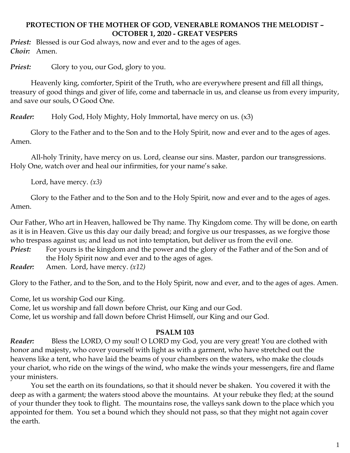#### **PROTECTION OF THE MOTHER OF GOD, VENERABLE ROMANOS THE MELODIST – OCTOBER 1, 2020 - GREAT VESPERS**

Priest: Blessed is our God always, now and ever and to the ages of ages. *Choir:* Amen.

*Priest:* Glory to you, our God, glory to you.

Heavenly king, comforter, Spirit of the Truth, who are everywhere present and fill all things, treasury of good things and giver of life, come and tabernacle in us, and cleanse us from every impurity, and save our souls, O Good One.

*Reader:* Holy God, Holy Mighty, Holy Immortal, have mercy on us. (x3)

Glory to the Father and to the Son and to the Holy Spirit, now and ever and to the ages of ages. Amen.

All-holy Trinity, have mercy on us. Lord, cleanse our sins. Master, pardon our transgressions. Holy One, watch over and heal our infirmities, for your name's sake.

Lord, have mercy. *(x3)*

Glory to the Father and to the Son and to the Holy Spirit, now and ever and to the ages of ages. Amen.

Our Father, Who art in Heaven, hallowed be Thy name. Thy Kingdom come. Thy will be done, on earth as it is in Heaven. Give us this day our daily bread; and forgive us our trespasses, as we forgive those who trespass against us; and lead us not into temptation, but deliver us from the evil one.

*Priest:* For yours is the kingdom and the power and the glory of the Father and of the Son and of the Holy Spirit now and ever and to the ages of ages.

*Reader:* Amen.Lord, have mercy. *(x12)*

Glory to the Father, and to the Son, and to the Holy Spirit, now and ever, and to the ages of ages. Amen.

Come, let us worship God our King. Come, let us worship and fall down before Christ, our King and our God. Come, let us worship and fall down before Christ Himself, our King and our God.

# **PSALM 103**

*Reader:* Bless the LORD, O my soul! O LORD my God, you are very great! You are clothed with honor and majesty, who cover yourself with light as with a garment, who have stretched out the heavens like a tent, who have laid the beams of your chambers on the waters, who make the clouds your chariot, who ride on the wings of the wind, who make the winds your messengers, fire and flame your ministers.

You set the earth on its foundations, so that it should never be shaken. You covered it with the deep as with a garment; the waters stood above the mountains. At your rebuke they fled; at the sound of your thunder they took to flight. The mountains rose, the valleys sank down to the place which you appointed for them. You set a bound which they should not pass, so that they might not again cover the earth.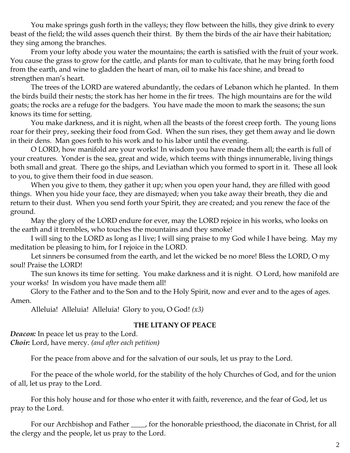You make springs gush forth in the valleys; they flow between the hills, they give drink to every beast of the field; the wild asses quench their thirst. By them the birds of the air have their habitation; they sing among the branches.

From your lofty abode you water the mountains; the earth is satisfied with the fruit of your work. You cause the grass to grow for the cattle, and plants for man to cultivate, that he may bring forth food from the earth, and wine to gladden the heart of man, oil to make his face shine, and bread to strengthen man's heart.

The trees of the LORD are watered abundantly, the cedars of Lebanon which he planted. In them the birds build their nests; the stork has her home in the fir trees. The high mountains are for the wild goats; the rocks are a refuge for the badgers. You have made the moon to mark the seasons; the sun knows its time for setting.

You make darkness, and it is night, when all the beasts of the forest creep forth. The young lions roar for their prey, seeking their food from God. When the sun rises, they get them away and lie down in their dens. Man goes forth to his work and to his labor until the evening.

O LORD, how manifold are your works! In wisdom you have made them all; the earth is full of your creatures. Yonder is the sea, great and wide, which teems with things innumerable, living things both small and great. There go the ships, and Leviathan which you formed to sport in it. These all look to you, to give them their food in due season.

When you give to them, they gather it up; when you open your hand, they are filled with good things. When you hide your face, they are dismayed; when you take away their breath, they die and return to their dust. When you send forth your Spirit, they are created; and you renew the face of the ground.

May the glory of the LORD endure for ever, may the LORD rejoice in his works, who looks on the earth and it trembles, who touches the mountains and they smoke!

I will sing to the LORD as long as I live; I will sing praise to my God while I have being. May my meditation be pleasing to him, for I rejoice in the LORD.

Let sinners be consumed from the earth, and let the wicked be no more! Bless the LORD, O my soul! Praise the LORD!

The sun knows its time for setting. You make darkness and it is night. O Lord, how manifold are your works! In wisdom you have made them all!

Glory to the Father and to the Son and to the Holy Spirit, now and ever and to the ages of ages. Amen.

Alleluia! Alleluia! Alleluia! Glory to you, O God! *(x3)*

#### **THE LITANY OF PEACE**

*Deacon:* In peace let us pray to the Lord. *Choir:* Lord, have mercy. *(and after each petition)*

For the peace from above and for the salvation of our souls, let us pray to the Lord.

For the peace of the whole world, for the stability of the holy Churches of God, and for the union of all, let us pray to the Lord.

For this holy house and for those who enter it with faith, reverence, and the fear of God, let us pray to the Lord.

For our Archbishop and Father \_\_\_\_, for the honorable priesthood, the diaconate in Christ, for all the clergy and the people, let us pray to the Lord.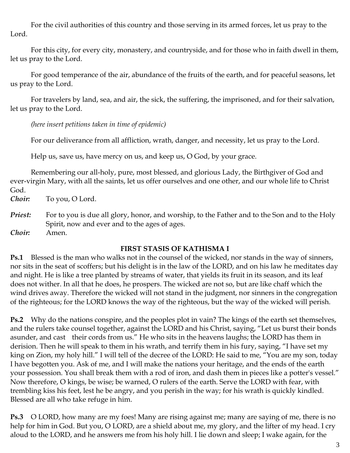For the civil authorities of this country and those serving in its armed forces, let us pray to the Lord.

For this city, for every city, monastery, and countryside, and for those who in faith dwell in them, let us pray to the Lord.

For good temperance of the air, abundance of the fruits of the earth, and for peaceful seasons, let us pray to the Lord.

For travelers by land, sea, and air, the sick, the suffering, the imprisoned, and for their salvation, let us pray to the Lord.

*(here insert petitions taken in time of epidemic)*

For our deliverance from all affliction, wrath, danger, and necessity, let us pray to the Lord.

Help us, save us, have mercy on us, and keep us, O God, by your grace.

Remembering our all-holy, pure, most blessed, and glorious Lady, the Birthgiver of God and ever-virgin Mary, with all the saints, let us offer ourselves and one other, and our whole life to Christ God.

*Choir:* To you, O Lord.

*Priest:* For to you is due all glory, honor, and worship, to the Father and to the Son and to the Holy Spirit, now and ever and to the ages of ages.

*Choir:* Amen.

#### **FIRST STASIS OF KATHISMA I**

**Ps.1** Blessed is the man who walks not in the counsel of the wicked, nor stands in the way of sinners, nor sits in the seat of scoffers; but his delight is in the law of the LORD, and on his law he meditates day and night. He is like a tree planted by streams of water, that yields its fruit in its season, and its leaf does not wither. In all that he does, he prospers. The wicked are not so, but are like chaff which the wind drives away. Therefore the wicked will not stand in the judgment, nor sinners in the congregation of the righteous; for the LORD knows the way of the righteous, but the way of the wicked will perish.

**Ps.2** Why do the nations conspire, and the peoples plot in vain? The kings of the earth set themselves, and the rulers take counsel together, against the LORD and his Christ, saying, "Let us burst their bonds asunder, and cast their cords from us." He who sits in the heavens laughs; the LORD has them in derision. Then he will speak to them in his wrath, and terrify them in his fury, saying, "I have set my king on Zion, my holy hill." I will tell of the decree of the LORD: He said to me, "You are my son, today I have begotten you. Ask of me, and I will make the nations your heritage, and the ends of the earth your possession. You shall break them with a rod of iron, and dash them in pieces like a potter's vessel." Now therefore, O kings, be wise; be warned, O rulers of the earth. Serve the LORD with fear, with trembling kiss his feet, lest he be angry, and you perish in the way; for his wrath is quickly kindled. Blessed are all who take refuge in him.

**Ps.3** O LORD, how many are my foes! Many are rising against me; many are saying of me, there is no help for him in God. But you, O LORD, are a shield about me, my glory, and the lifter of my head. I cry aloud to the LORD, and he answers me from his holy hill. I lie down and sleep; I wake again, for the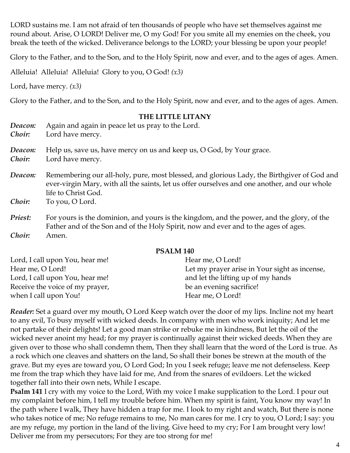LORD sustains me. I am not afraid of ten thousands of people who have set themselves against me round about. Arise, O LORD! Deliver me, O my God! For you smite all my enemies on the cheek, you break the teeth of the wicked. Deliverance belongs to the LORD; your blessing be upon your people!

Glory to the Father, and to the Son, and to the Holy Spirit, now and ever, and to the ages of ages. Amen.

Alleluia! Alleluia! Alleluia! Glory to you, O God! *(x3)*

Lord, have mercy. *(x3)*

Glory to the Father, and to the Son, and to the Holy Spirit, now and ever, and to the ages of ages. Amen.

#### **THE LITTLE LITANY**

| <b>Deacon:</b> Again and again in peace let us pray to the Lord. |
|------------------------------------------------------------------|
| <i>Choir:</i> Lord have mercy.                                   |

- *Deacon:* Help us, save us, have mercy on us and keep us, O God, by Your grace.
- *Choir:* Lord have mercy.
- **Deacon:** Remembering our all-holy, pure, most blessed, and glorious Lady, the Birthgiver of God and ever-virgin Mary, with all the saints, let us offer ourselves and one another, and our whole life to Christ God.
- *Choir:* To you, O Lord.
- *Priest:* For yours is the dominion, and yours is the kingdom, and the power, and the glory, of the Father and of the Son and of the Holy Spirit, now and ever and to the ages of ages. *Choir:* Amen.

#### **PSALM 140**

| Lord, I call upon You, hear me! | Hear me, O Lord!                              |
|---------------------------------|-----------------------------------------------|
| Hear me, O Lord!                | Let my prayer arise in Your sight as incense, |
| Lord, I call upon You, hear me! | and let the lifting up of my hands            |
| Receive the voice of my prayer, | be an evening sacrifice!                      |
| when I call upon You!           | Hear me, O Lord!                              |

*Reader:* Set a guard over my mouth, O Lord Keep watch over the door of my lips. Incline not my heart to any evil, To busy myself with wicked deeds. In company with men who work iniquity; And let me not partake of their delights! Let a good man strike or rebuke me in kindness, But let the oil of the wicked never anoint my head; for my prayer is continually against their wicked deeds. When they are given over to those who shall condemn them, Then they shall learn that the word of the Lord is true. As a rock which one cleaves and shatters on the land, So shall their bones be strewn at the mouth of the grave. But my eyes are toward you, O Lord God; In you I seek refuge; leave me not defenseless. Keep me from the trap which they have laid for me, And from the snares of evildoers. Let the wicked together fall into their own nets, While I escape.

**Psalm 141** I cry with my voice to the Lord, With my voice I make supplication to the Lord. I pour out my complaint before him, I tell my trouble before him. When my spirit is faint, You know my way! In the path where I walk, They have hidden a trap for me. I look to my right and watch, But there is none who takes notice of me; No refuge remains to me, No man cares for me. I cry to you, O Lord; I say: you are my refuge, my portion in the land of the living. Give heed to my cry; For I am brought very low! Deliver me from my persecutors; For they are too strong for me!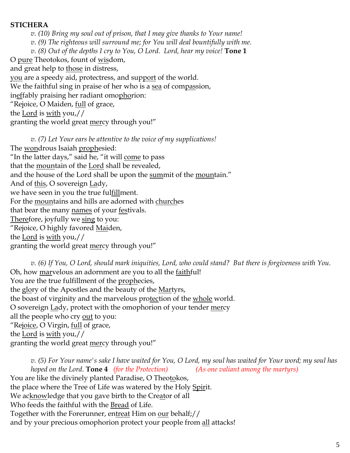#### **STICHERA**

*v. (10) Bring my soul out of prison, that I may give thanks to Your name! v.* (9) The righteous will surround me; for You will deal bountifully with me. *v. (8) Out of the depths I cry to You, O Lord. Lord, hear my voice!* **Tone 1** O pure Theotokos, fount of wisdom, and great help to those in distress, you are a speedy aid, protectress, and support of the world. We the faithful sing in praise of her who is a sea of compassion, ineffably praising her radiant omophorion: "Rejoice, O Maiden, *full* of grace, the Lord is with you,// granting the world great mercy through you!"

*v. (7) Let Your ears be attentive to the voice of my supplications!* The wondrous Isaiah prophesied: "In the latter days," said he, "it will come to pass that the mountain of the Lord shall be revealed, and the house of the Lord shall be upon the summit of the mountain." And of this, O sovereign Lady, we have seen in you the true fulfillment. For the mountains and hills are adorned with churches that bear the many names of your festivals. Therefore, joyfully we sing to you: "Rejoice, O highly favored Maiden, the Lord is with you,// granting the world great mercy through you!"

*v. (6) If You, O Lord, should mark iniquities, Lord, who could stand? But there is forgiveness with You.*  Oh, how marvelous an adornment are you to all the faithful! You are the true fulfillment of the prophecies, the glory of the Apostles and the beauty of the Martyrs, the boast of virginity and the marvelous protection of the whole world. O sovereign Lady, protect with the omophorion of your tender mercy all the people who cry out to you: "Rejoice, O Virgin, full of grace, the Lord is with you,// granting the world great mercy through you!"

*v. (5) For Your name's sake I have waited for You, O Lord, my soul has waited for Your word; my soul has hoped on the Lord.* **Tone 4** *(for the Protection) (As one valiant among the martyrs)* You are like the divinely planted Paradise, O Theotokos, the place where the Tree of Life was watered by the Holy Spirit. We acknowledge that you gave birth to the Creator of all Who feeds the faithful with the **Bread** of Life. Together with the Forerunner, en<u>treat</u> Him on <u>our</u> behalf;// and by your precious omophorion protect your people from all attacks!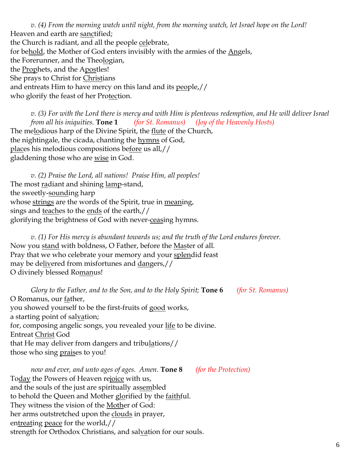*v. (4) From the morning watch until night, from the morning watch, let Israel hope on the Lord!*  Heaven and earth are sanctified; the Church is radiant, and all the people celebrate, for behold, the Mother of God enters invisibly with the armies of the Angels, the Forerunner, and the Theologian, the Prophets, and the Apostles! She prays to Christ for Christians and entreats Him to have mercy on this land and its people,// who glorify the feast of her Protection.

*v. (3) For with the Lord there is mercy and with Him is plenteous redemption, and He will deliver Israel from all his iniquities.* **Tone 1** *(for St. Romanus) (Joy of the Heavenly Hosts)* The melodious harp of the Divine Spirit, the flute of the Church, the nightingale, the cicada, chanting the hymns of God, places his melodious compositions before us all,// gladdening those who are wise in God.

*v. (2) Praise the Lord, all nations! Praise Him, all peoples!* The most radiant and shining lamp-stand, the sweetly-sounding harp whose strings are the words of the Spirit, true in meaning, sings and teaches to the ends of the earth,// glorifying the brightness of God with never-ceasing hymns.

*v. (1) For His mercy is abundant towards us; and the truth of the Lord endures forever.*  Now you stand with boldness, O Father, before the Master of all. Pray that we who celebrate your memory and your splendid feast may be delivered from misfortunes and dangers,// O divinely blessed Romanus!

*Glory to the Father, and to the Son, and to the Holy Spirit;* **Tone 6** *(for St. Romanus)* O Romanus, our father, you showed yourself to be the first-fruits of good works, a starting point of salvation; for, composing angelic songs, you revealed your life to be divine. Entreat Christ God that He may deliver from dangers and tribulations// those who sing praises to you!

*now and ever, and unto ages of ages. Amen.* **Tone 8** *(for the Protection)* Today the Powers of Heaven rejoice with us, and the souls of the just are spiritually assembled to behold the Queen and Mother glorified by the faithful. They witness the vision of the Mother of God: her arms outstretched upon the clouds in prayer, entreating peace for the world,// strength for Orthodox Christians, and salvation for our souls.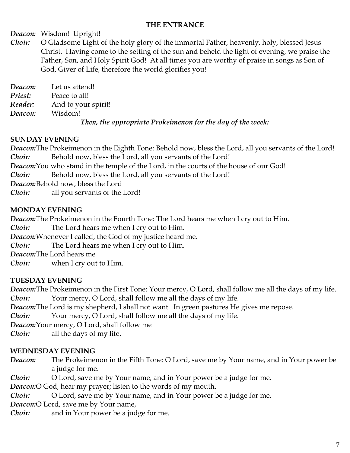### **THE ENTRANCE**

*Deacon:* Wisdom! Upright!

*Choir:* O Gladsome Light of the holy glory of the immortal Father, heavenly, holy, blessed Jesus Christ. Having come to the setting of the sun and beheld the light of evening, we praise the Father, Son, and Holy Spirit God! At all times you are worthy of praise in songs as Son of God, Giver of Life, therefore the world glorifies you!

| Deacon: | Let us attend!      |
|---------|---------------------|
| Priest: | Peace to all!       |
| Reader: | And to your spirit! |
| Deacon: | Wisdom!             |
|         | $T1$ $T1$           |

# *Then, the appropriate Prokeimenon for the day of the week:*

# **SUNDAY EVENING**

|        | Deacon: The Prokeimenon in the Eighth Tone: Behold now, bless the Lord, all you servants of the Lord! |
|--------|-------------------------------------------------------------------------------------------------------|
| Choir: | Behold now, bless the Lord, all you servants of the Lord!                                             |
|        | Deacon: You who stand in the temple of the Lord, in the courts of the house of our God!               |
| Choir: | Behold now, bless the Lord, all you servants of the Lord!                                             |
|        | <i>Deacon:</i> Behold now, bless the Lord                                                             |
| Choir: | all you servants of the Lord!                                                                         |

# **MONDAY EVENING**

*Deacon:*The Prokeimenon in the Fourth Tone: The Lord hears me when I cry out to Him.

*Choir:* The Lord hears me when I cry out to Him.

*Deacon:*Whenever I called, the God of my justice heard me.

*Choir:* The Lord hears me when I cry out to Him.

*Deacon:*The Lord hears me

*Choir:* when I cry out to Him.

# **TUESDAY EVENING**

*Deacon:*The Prokeimenon in the First Tone: Your mercy, O Lord, shall follow me all the days of my life. *Choir:* Your mercy, O Lord, shall follow me all the days of my life. *Deacon:*The Lord is my shepherd, I shall not want. In green pastures He gives me repose. *Choir:* Your mercy, O Lord, shall follow me all the days of my life. *Deacon:*Your mercy, O Lord, shall follow me *Choir:* all the days of my life.

# **WEDNESDAY EVENING**

*Deacon:* The Prokeimenon in the Fifth Tone: O Lord, save me by Your name, and in Your power be a judge for me.

*Choir:* O Lord, save me by Your name, and in Your power be a judge for me.

*Deacon:*O God, hear my prayer; listen to the words of my mouth.

*Choir:* O Lord, save me by Your name, and in Your power be a judge for me.

*Deacon:*O Lord, save me by Your name,

*Choir:* and in Your power be a judge for me.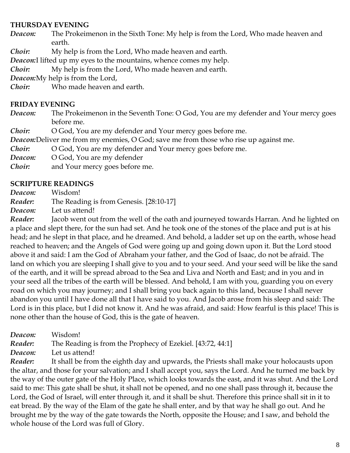#### **THURSDAY EVENING**

*Deacon:* The Prokeimenon in the Sixth Tone: My help is from the Lord, Who made heaven and earth.

*Choir:* My help is from the Lord, Who made heaven and earth.

*Deacon:*I lifted up my eyes to the mountains, whence comes my help.

*Choir:* My help is from the Lord, Who made heaven and earth.

*Deacon:*My help is from the Lord,

*Choir:* Who made heaven and earth.

#### **FRIDAY EVENING**

*Deacon:* The Prokeimenon in the Seventh Tone: O God, You are my defender and Your mercy goes before me.

*Choir:* O God, You are my defender and Your mercy goes before me.

*Deacon:*Deliver me from my enemies, O God; save me from those who rise up against me.

*Choir:* O God, You are my defender and Your mercy goes before me.

- *Deacon:* O God, You are my defender
- *Choir:* and Your mercy goes before me.

#### **SCRIPTURE READINGS**

- *Deacon:* Wisdom!
- *Reader:* The Reading is from Genesis. [28:10-17]
- *Deacon:* Let us attend!

*Reader:* Jacob went out from the well of the oath and journeyed towards Harran. And he lighted on a place and slept there, for the sun had set. And he took one of the stones of the place and put is at his head; and he slept in that place, and he dreamed. And behold, a ladder set up on the earth, whose head reached to heaven; and the Angels of God were going up and going down upon it. But the Lord stood above it and said: I am the God of Abraham your father, and the God of Isaac, do not be afraid. The land on which you are sleeping I shall give to you and to your seed. And your seed will be like the sand of the earth, and it will be spread abroad to the Sea and Liva and North and East; and in you and in your seed all the tribes of the earth will be blessed. And behold, I am with you, guarding you on every road on which you may journey; and I shall bring you back again to this land, because I shall never abandon you until I have done all that I have said to you. And Jacob arose from his sleep and said: The Lord is in this place, but I did not know it. And he was afraid, and said: How fearful is this place! This is none other than the house of God, this is the gate of heaven.

*Deacon:* Wisdom!

*Reader:* The Reading is from the Prophecy of Ezekiel. [43:72, 44:1]

*Deacon:* Let us attend!

*Reader:* It shall be from the eighth day and upwards, the Priests shall make your holocausts upon the altar, and those for your salvation; and I shall accept you, says the Lord. And he turned me back by the way of the outer gate of the Holy Place, which looks towards the east, and it was shut. And the Lord said to me: This gate shall be shut, it shall not be opened, and no one shall pass through it, because the Lord, the God of Israel, will enter through it, and it shall be shut. Therefore this prince shall sit in it to eat bread. By the way of the Elam of the gate he shall enter, and by that way he shall go out. And he brought me by the way of the gate towards the North, opposite the House; and I saw, and behold the whole house of the Lord was full of Glory.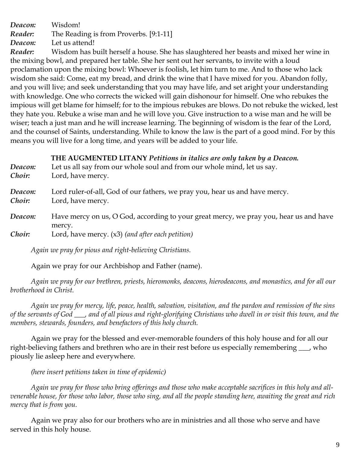*Deacon:* Wisdom! *Reader:* The Reading is from Proverbs. [9:1-11] *Deacon:* Let us attend!

*Reader:* Wisdom has built herself a house. She has slaughtered her beasts and mixed her wine in the mixing bowl, and prepared her table. She her sent out her servants, to invite with a loud proclamation upon the mixing bowl: Whoever is foolish, let him turn to me. And to those who lack wisdom she said: Come, eat my bread, and drink the wine that I have mixed for you. Abandon folly, and you will live; and seek understanding that you may have life, and set aright your understanding with knowledge. One who corrects the wicked will gain dishonour for himself. One who rebukes the impious will get blame for himself; for to the impious rebukes are blows. Do not rebuke the wicked, lest they hate you. Rebuke a wise man and he will love you. Give instruction to a wise man and he will be wiser; teach a just man and he will increase learning. The beginning of wisdom is the fear of the Lord, and the counsel of Saints, understanding. While to know the law is the part of a good mind. For by this means you will live for a long time, and years will be added to your life.

#### **THE AUGMENTED LITANY** *Petitions in italics are only taken by a Deacon.*

| Deacon: | Let us all say from our whole soul and from our whole mind, let us say.                         |
|---------|-------------------------------------------------------------------------------------------------|
| Choir:  | Lord, have mercy.                                                                               |
| Deacon: | Lord ruler-of-all, God of our fathers, we pray you, hear us and have mercy.                     |
| Choir:  | Lord, have mercy.                                                                               |
| Deacon: | Have mercy on us, O God, according to your great mercy, we pray you, hear us and have<br>mercy. |
| Choir:  | Lord, have mercy. $(x3)$ (and after each petition)                                              |

*Again we pray for pious and right-believing Christians.*

Again we pray for our Archbishop and Father (name).

*Again we pray for our brethren, priests, hieromonks, deacons, hierodeacons, and monastics, and for all our brotherhood in Christ.*

*Again we pray for mercy, life, peace, health, salvation, visitation, and the pardon and remission of the sins of the servants of God \_\_\_, and of all pious and right-glorifying Christians who dwell in or visit this town, and the members, stewards, founders, and benefactors of this holy church.*

Again we pray for the blessed and ever-memorable founders of this holy house and for all our right-believing fathers and brethren who are in their rest before us especially remembering \_\_\_, who piously lie asleep here and everywhere.

*(here insert petitions taken in time of epidemic)*

*Again we pray for those who bring offerings and those who make acceptable sacrifices in this holy and allvenerable house, for those who labor, those who sing, and all the people standing here, awaiting the great and rich mercy that is from you.*

Again we pray also for our brothers who are in ministries and all those who serve and have served in this holy house.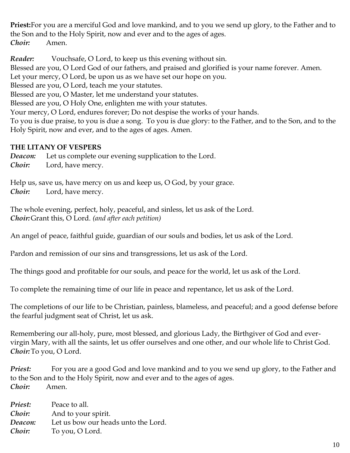**Priest:**For you are a merciful God and love mankind, and to you we send up glory, to the Father and to the Son and to the Holy Spirit, now and ever and to the ages of ages. *Choir:* Amen.

*Reader:* Vouchsafe, O Lord, to keep us this evening without sin. Blessed are you, O Lord God of our fathers, and praised and glorified is your name forever. Amen. Let your mercy, O Lord, be upon us as we have set our hope on you. Blessed are you, O Lord, teach me your statutes. Blessed are you, O Master, let me understand your statutes. Blessed are you, O Holy One, enlighten me with your statutes. Your mercy, O Lord, endures forever; Do not despise the works of your hands.

To you is due praise, to you is due a song. To you is due glory: to the Father, and to the Son, and to the Holy Spirit, now and ever, and to the ages of ages. Amen.

# **THE LITANY OF VESPERS**

*Deacon:* Let us complete our evening supplication to the Lord. *Choir:* Lord, have mercy.

Help us, save us, have mercy on us and keep us, O God, by your grace. *Choir:* Lord, have mercy.

The whole evening, perfect, holy, peaceful, and sinless, let us ask of the Lord. *Choir:*Grant this, O Lord. *(and after each petition)*

An angel of peace, faithful guide, guardian of our souls and bodies, let us ask of the Lord.

Pardon and remission of our sins and transgressions, let us ask of the Lord.

The things good and profitable for our souls, and peace for the world, let us ask of the Lord.

To complete the remaining time of our life in peace and repentance, let us ask of the Lord.

The completions of our life to be Christian, painless, blameless, and peaceful; and a good defense before the fearful judgment seat of Christ, let us ask.

Remembering our all-holy, pure, most blessed, and glorious Lady, the Birthgiver of God and evervirgin Mary, with all the saints, let us offer ourselves and one other, and our whole life to Christ God. *Choir:*To you, O Lord.

*Priest:* For you are a good God and love mankind and to you we send up glory, to the Father and to the Son and to the Holy Spirit, now and ever and to the ages of ages. *Choir:* Amen.

| Priest: | Peace to all.                       |
|---------|-------------------------------------|
| Choir:  | And to your spirit.                 |
| Deacon: | Let us bow our heads unto the Lord. |
| Choir:  | To you, O Lord.                     |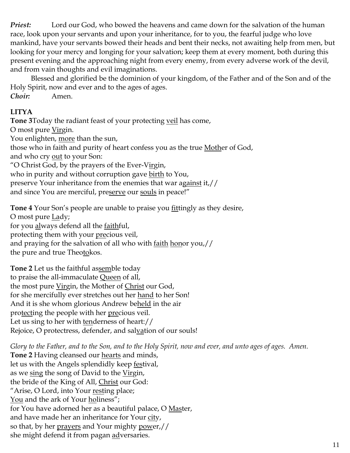*Priest:* Lord our God, who bowed the heavens and came down for the salvation of the human race, look upon your servants and upon your inheritance, for to you, the fearful judge who love mankind, have your servants bowed their heads and bent their necks, not awaiting help from men, but looking for your mercy and longing for your salvation; keep them at every moment, both during this present evening and the approaching night from every enemy, from every adverse work of the devil, and from vain thoughts and evil imaginations.

Blessed and glorified be the dominion of your kingdom, of the Father and of the Son and of the Holy Spirit, now and ever and to the ages of ages. *Choir:* Amen.

# **LITYA**

**Tone 3**Today the radiant feast of your protecting veil has come, O most pure Virgin. You enlighten, more than the sun, those who in faith and purity of heart confess you as the true Mother of God, and who cry <u>out</u> to your Son: "O Christ God, by the prayers of the Ever-Virgin, who in purity and without corruption gave birth to You, preserve Your inheritance from the enemies that war against it,// and since You are merciful, preserve our souls in peace!"

**Tone 4** Your Son's people are unable to praise you fittingly as they desire, O most pure Lady; for you always defend all the <u>faith</u>ful, protecting them with your precious veil, and praying for the salvation of all who with **faith honor you**,// the pure and true Theotokos.

**Tone 2** Let us the faithful assemble today to praise the all-immaculate Queen of all, the most pure Virgin, the Mother of Christ our God, for she mercifully ever stretches out her hand to her Son! And it is she whom glorious Andrew beheld in the air protecting the people with her precious veil. Let us sing to her with tenderness of heart:// Rejoice, O protectress, defender, and salvation of our souls!

Glory to the Father, and to the Son, and to the Holy Spirit, now and ever, and unto ages of ages. Amen. **Tone 2** Having cleansed our hearts and minds, let us with the Angels splendidly keep <u>festival</u>, as we sing the song of David to the Virgin, the bride of the King of All, Christ our God: "Arise, O Lord, into Your resting place; You and the ark of Your holiness"; for You have adorned her as a beautiful palace, O Master, and have made her an inheritance for Your city, so that, by her <u>prayers</u> and Your mighty <u>pow</u>er,// she might defend it from pagan adversaries.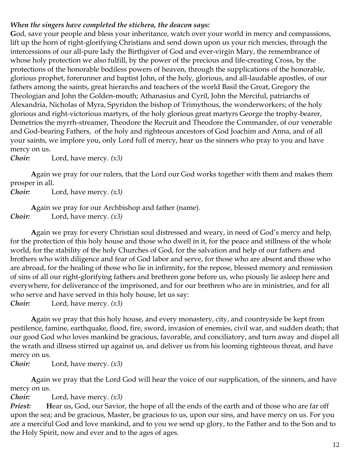#### *When the singers have completed the stichera, the deacon says:*

**G**od, save your people and bless your inheritance, watch over your world in mercy and compassions, lift up the horn of right-glorifying Christians and send down upon us your rich mercies, through the intercessions of our all-pure lady the Birthgiver of God and ever-virgin Mary, the remembrance of whose holy protection we also fulfill, by the power of the precious and life-creating Cross, by the protections of the honorable bodiless powers of heaven, through the supplications of the honorable, glorious prophet, forerunner and baptist John, of the holy, glorious, and all-laudable apostles, of our fathers among the saints, great hierarchs and teachers of the world Basil the Great, Gregory the Theologian and John the Golden-mouth; Athanasius and Cyril, John the Merciful, patriarchs of Alexandria, Nicholas of Myra, Spyridon the bishop of Trimythous, the wonderworkers; of the holy glorious and right-victorious martyrs, of the holy glorious great martyrs George the trophy-bearer, Demetrios the myrrh-streamer, Theodore the Recruit and Theodore the Commander, of our venerable and God-bearing Fathers, of the holy and righteous ancestors of God Joachim and Anna, and of all your saints, we implore you, only Lord full of mercy, hear us the sinners who pray to you and have mercy on us.

*Choir:* Lord, have mercy. *(x3)*

**A**gain we pray for our rulers, that the Lord our God works together with them and makes them prosper in all.

*Choir:* Lord, have mercy. *(x3)*

**A**gain we pray for our Archbishop and father (name). *Choir:* Lord, have mercy. *(x3)*

**A**gain we pray for every Christian soul distressed and weary, in need of God's mercy and help, for the protection of this holy house and those who dwell in it, for the peace and stillness of the whole world, for the stability of the holy Churches of God, for the salvation and help of our fathers and brothers who with diligence and fear of God labor and serve, for those who are absent and those who are abroad, for the healing of those who lie in infirmity, for the repose, blessed memory and remission of sins of all our right-glorifying fathers and brethren gone before us, who piously lie asleep here and everywhere, for deliverance of the imprisoned, and for our brethren who are in ministries, and for all who serve and have served in this holy house, let us say:

*Choir:* Lord, have mercy. *(x3)*

**A**gain we pray that this holy house, and every monastery, city, and countryside be kept from pestilence, famine, earthquake, flood, fire, sword, invasion of enemies, civil war, and sudden death; that our good God who loves mankind be gracious, favorable, and conciliatory, and turn away and dispel all the wrath and illness stirred up against us, and deliver us from his looming righteous threat, and have mercy on us.

*Choir:* Lord, have mercy. *(x3)*

**A**gain we pray that the Lord God will hear the voice of our supplication, of the sinners, and have mercy on us.

*Choir:* Lord, have mercy. *(x3)*

*Priest:* **H**ear us, God, our Savior, the hope of all the ends of the earth and of those who are far off upon the sea; and be gracious, Master, be gracious to us, upon our sins, and have mercy on us. For you are a merciful God and love mankind, and to you we send up glory, to the Father and to the Son and to the Holy Spirit, now and ever and to the ages of ages.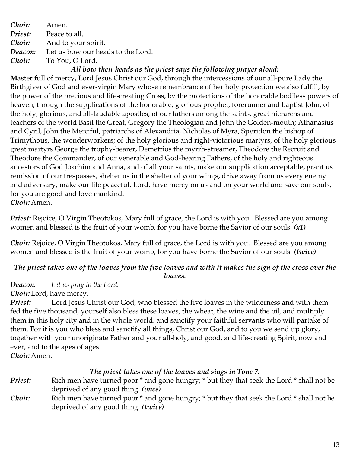*Choir:* Amen. *Priest:* Peace to all. *Choir:* And to your spirit. *Deacon:* Let us bow our heads to the Lord. *Choir:* To You, O Lord.

*All bow their heads as the priest says the following prayer aloud:*

**M**aster full of mercy, Lord Jesus Christ our God, through the intercessions of our all-pure Lady the Birthgiver of God and ever-virgin Mary whose remembrance of her holy protection we also fulfill, by the power of the precious and life-creating Cross, by the protections of the honorable bodiless powers of heaven, through the supplications of the honorable, glorious prophet, forerunner and baptist John, of the holy, glorious, and all-laudable apostles, of our fathers among the saints, great hierarchs and teachers of the world Basil the Great, Gregory the Theologian and John the Golden-mouth; Athanasius and Cyril, John the Merciful, patriarchs of Alexandria, Nicholas of Myra, Spyridon the bishop of Trimythous, the wonderworkers; of the holy glorious and right-victorious martyrs, of the holy glorious great martyrs George the trophy-bearer, Demetrios the myrrh-streamer, Theodore the Recruit and Theodore the Commander, of our venerable and God-bearing Fathers, of the holy and righteous ancestors of God Joachim and Anna, and of all your saints, make our supplication acceptable, grant us remission of our trespasses, shelter us in the shelter of your wings, drive away from us every enemy and adversary, make our life peaceful, Lord, have mercy on us and on your world and save our souls, for you are good and love mankind.

*Choir:*Amen.

*Priest:* Rejoice, O Virgin Theotokos, Mary full of grace, the Lord is with you. Blessed are you among women and blessed is the fruit of your womb, for you have borne the Savior of our souls. *(x1)*

*Choir*: Rejoice, O Virgin Theotokos, Mary full of grace, the Lord is with you. Blessed are you among women and blessed is the fruit of your womb, for you have borne the Savior of our souls. *(twice)*

#### *The priest takes one of the loaves from the five loaves and with it makes the sign of the cross over the loaves.*

*Deacon: Let us pray to the Lord.* 

*Choir:*Lord, have mercy.

*Priest:* Lord Jesus Christ our God, who blessed the five loaves in the wilderness and with them fed the five thousand, yourself also bless these loaves, the wheat, the wine and the oil, and multiply them in this holy city and in the whole world; and sanctify your faithful servants who will partake of them. **F**or it is you who bless and sanctify all things, Christ our God, and to you we send up glory, together with your unoriginate Father and your all-holy, and good, and life-creating Spirit, now and ever, and to the ages of ages.

*Choir:*Amen.

# *The priest takes one of the loaves and sings in Tone 7:*

*Priest:* Rich men have turned poor \* and gone hungry; \* but they that seek the Lord \* shall not be deprived of any good thing. *(once) Choir:* Rich men have turned poor \* and gone hungry; \* but they that seek the Lord \* shall not be deprived of any good thing. *(twice)*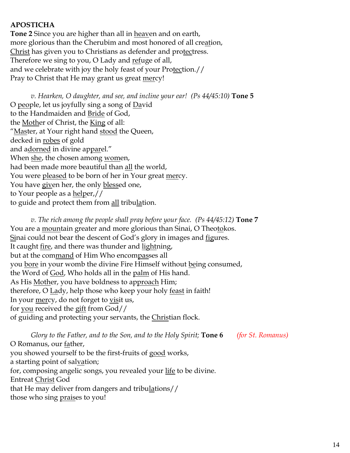#### **APOSTICHA**

**Tone 2** Since you are higher than all in heaven and on earth, more glorious than the Cherubim and most honored of all creation, Christ has given you to Christians as defender and protectress. Therefore we sing to you, O Lady and refuge of all, and we celebrate with joy the holy feast of your Protection.// Pray to Christ that He may grant us great mercy!

*v. Hearken, O daughter, and see, and incline your ear! (Ps 44/45:10)* **Tone 5** O people, let us joyfully sing a song of David to the Handmaiden and Bride of God, the Mother of Christ, the King of all: "Master, at Your right hand stood the Queen, decked in robes of gold and adorned in divine apparel." When she, the chosen among women, had been made more beautiful than all the world, You were pleased to be born of her in Your great mercy. You have given her, the only blessed one, to Your people as a helper,// to guide and protect them from all tribulation.

*v. The rich among the people shall pray before your face. (Ps 44/45:12)* **Tone 7** You are a mountain greater and more glorious than Sinai, O Theotokos. Sinai could not bear the descent of God's glory in images and figures. It caught fire, and there was thunder and lightning, but at the command of Him Who encompasses all you bore in your womb the divine Fire Himself without being consumed, the Word of God, Who holds all in the palm of His hand. As His Mother, you have boldness to approach Him; therefore, O Lady, help those who keep your holy feast in faith! In your mercy, do not forget to visit us, for you received the gift from God// of guiding and protecting your servants, the Christian flock.

*Glory to the Father, and to the Son, and to the Holy Spirit;* **Tone 6** *(for St. Romanus)* O Romanus, our father, you showed yourself to be the first-fruits of good works, a starting point of salvation; for, composing angelic songs, you revealed your life to be divine. Entreat Christ God that He may deliver from dangers and tribulations// those who sing praises to you!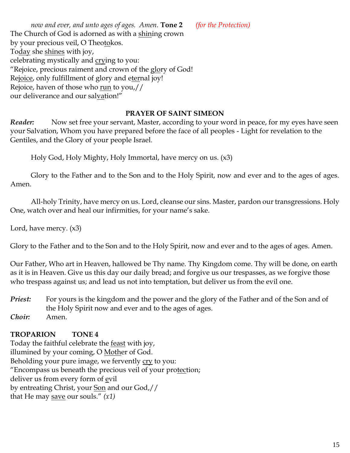*now and ever, and unto ages of ages. Amen.* **Tone 2** *(for the Protection)* The Church of God is adorned as with a shining crown by your precious veil, O Theotokos. Today she shines with joy, celebrating mystically and crying to you: "Rejoice, precious raiment and crown of the glory of God! Rejoice, only fulfillment of glory and eternal joy! Rejoice, haven of those who <u>run</u> to you,// our deliverance and our salvation!"

#### **PRAYER OF SAINT SIMEON**

*Reader:* Now set free your servant, Master, according to your word in peace, for my eyes have seen your Salvation, Whom you have prepared before the face of all peoples - Light for revelation to the Gentiles, and the Glory of your people Israel.

Holy God, Holy Mighty, Holy Immortal, have mercy on us. (x3)

Glory to the Father and to the Son and to the Holy Spirit, now and ever and to the ages of ages. Amen.

All-holy Trinity, have mercy on us. Lord, cleanse our sins. Master, pardon our transgressions. Holy One, watch over and heal our infirmities, for your name's sake.

Lord, have mercy. (x3)

Glory to the Father and to the Son and to the Holy Spirit, now and ever and to the ages of ages. Amen.

Our Father, Who art in Heaven, hallowed be Thy name. Thy Kingdom come. Thy will be done, on earth as it is in Heaven. Give us this day our daily bread; and forgive us our trespasses, as we forgive those who trespass against us; and lead us not into temptation, but deliver us from the evil one.

*Priest:* For yours is the kingdom and the power and the glory of the Father and of the Son and of the Holy Spirit now and ever and to the ages of ages.

*Choir:* Amen.

# **TROPARION TONE 4**

Today the faithful celebrate the feast with joy, illumined by your coming, O Mother of God. Beholding your pure image, we fervently cry to you: "Encompass us beneath the precious veil of your protection; deliver us from every form of evil by entreating Christ, your Son and our God,// that He may save our souls." *(x1)*